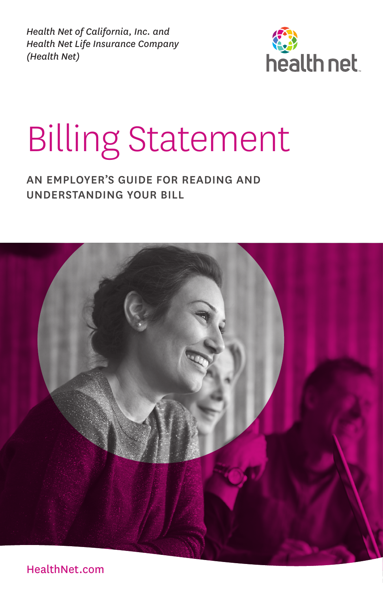*Health Net of California, Inc. and Health Net Life Insurance Company (Health Net)*



# Billing Statement

#### AN EMPLOYER'S GUIDE FOR READING AND UNDERSTANDING YOUR BILL



[HealthNet.com](https://www.healthnet.com/)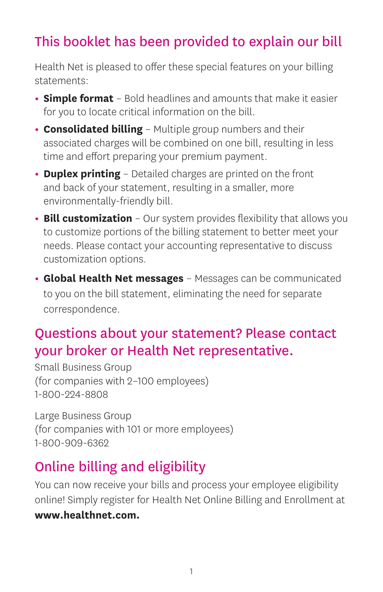### This booklet has been provided to explain our bill

Health Net is pleased to offer these special features on your billing statements:

- **Simple format** Bold headlines and amounts that make it easier for you to locate critical information on the bill.
- **Consolidated billing** Multiple group numbers and their associated charges will be combined on one bill, resulting in less time and effort preparing your premium payment.
- **Duplex printing** Detailed charges are printed on the front and back of your statement, resulting in a smaller, more environmentally-friendly bill.
- **Bill customization** Our system provides flexibility that allows you to customize portions of the billing statement to better meet your needs. Please contact your accounting representative to discuss customization options.
- **Global Health Net messages** Messages can be communicated to you on the bill statement, eliminating the need for separate correspondence.

### Questions about your statement? Please contact your broker or Health Net representative.

Small Business Group (for companies with 2–100 employees) 1-800-224-8808

Large Business Group (for companies with 101 or more employees) 1-800-909-6362

### Online billing and eligibility

You can now receive your bills and process your employee eligibility online! Simply register for Health Net Online Billing and Enrollment at **[www.healthnet.com.](https://www.healthnet.com)**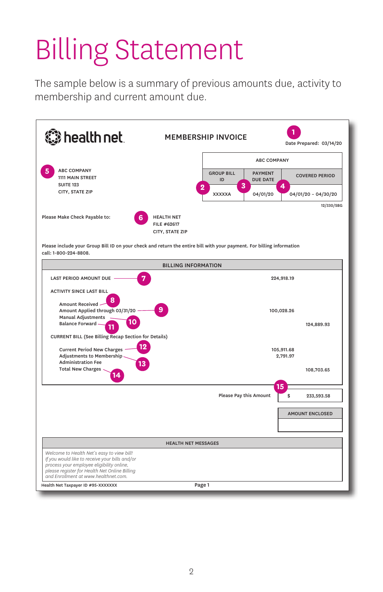# Billing Statement

The sample below is a summary of previous amounts due, activity to membership and current amount due.

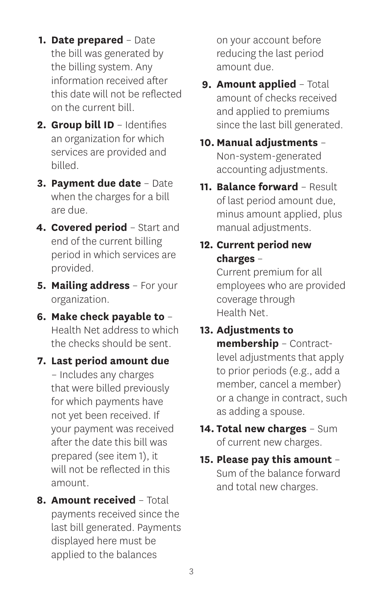- **1. Date prepared** Date the bill was generated by the billing system. Any information received after this date will not be reflected on the current bill.
- **2. Group bill ID** Identifies an organization for which services are provided and billed.
- **3. Payment due date** Date when the charges for a bill are due.
- **4. Covered period** Start and end of the current billing period in which services are provided.
- **5. Mailing address** For your organization.
- **6. Make check payable to** Health Net address to which the checks should be sent.
- **7. Last period amount due** – Includes any charges that were billed previously for which payments have not yet been received. If your payment was received after the date this bill was prepared (see item 1), it will not be reflected in this amount.
- **8. Amount received** Total payments received since the last bill generated. Payments displayed here must be applied to the balances

on your account before reducing the last period amount due.

- **9. Amount applied** Total amount of checks received and applied to premiums since the last bill generated.
- **10. Manual adjustments** Non-system-generated accounting adjustments.
- **11. Balance forward** Result of last period amount due, minus amount applied, plus manual adjustments.
- **12. Current period new charges** –

Current premium for all employees who are provided coverage through Health Net.

#### **13. Adjustments to**

**membership** – Contractlevel adjustments that apply to prior periods (e.g., add a member, cancel a member) or a change in contract, such as adding a spouse.

- **14. Total new charges** Sum of current new charges.
- **15. Please pay this amount** Sum of the balance forward and total new charges.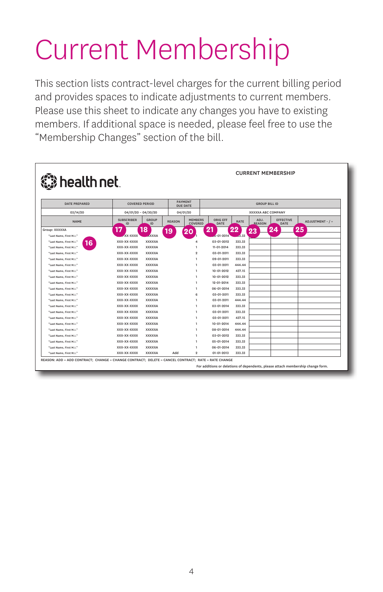### Current Membership

This section lists contract-level charges for the current billing period and provides spaces to indicate adjustments to current members. Please use this sheet to indicate any changes you have to existing members. If additional space is needed, please feel free to use the "Membership Changes" section of the bill.

| <b>CURRENT MEMBERSHIP</b><br><b>《 health net</b> |                         |                       |               |                                   |                         |             |                           |                          |                  |
|--------------------------------------------------|-------------------------|-----------------------|---------------|-----------------------------------|-------------------------|-------------|---------------------------|--------------------------|------------------|
| <b>DATE PREPARED</b>                             |                         | <b>COVERED PERIOD</b> |               | <b>PAYMENT</b><br><b>DUE DATE</b> | <b>GROUP BILL ID</b>    |             |                           |                          |                  |
| 03/14/20                                         |                         | $04/01/20 - 04/30/20$ |               | 04/01/20                          |                         |             | <b>XXXXXA ABC COMPANY</b> |                          |                  |
| <b>NAME</b>                                      | <b>SUBSCRIBER</b><br>ID | <b>GROUP</b><br>ID    | <b>REASON</b> | <b>MEMBERS</b><br>COVERED         | <b>ORIG EFF</b><br>DATE | <b>RATE</b> | ADJ.<br><b>REASON</b>     | <b>EFFECTIVE</b><br>DATE | ADJUSTMENT - / + |
| Group: XXXXXA                                    | 17                      | 18                    | 19            | O                                 | 21                      | 22          | 23                        | 24                       | 25               |
| "Last Name, First M.I."                          | -XX-XXXX                | <b>XXXXA</b>          |               |                                   | 6-01-2014               | $-3.33$     |                           |                          |                  |
| "Last Name, First M.I."<br>16                    | XXX-XX-XXXX             | <b>XXXXXA</b>         |               | л                                 | 03-01-2012              | 333.33      |                           |                          |                  |
| "Last Name, First M.I."                          | XXX-XX-XXXX             | <b>XXXXXA</b>         |               | <sub>1</sub>                      | 11-01-2014              | 333.33      |                           |                          |                  |
| "Last Name, First M.I."                          | XXX-XX-XXXX             | <b>XXXXXA</b>         |               | 2                                 | 03-01-2011              | 333.33      |                           |                          |                  |
| "Last Name, First M.I."                          | XXX-XX-XXXX             | <b>XXXXXA</b>         |               | п                                 | 09-01-2011              | 333.33      |                           |                          |                  |
| "Last Name, First M.I."                          | XXX-XX-XXXX             | <b>XXXXXA</b>         |               | п                                 | 03-01-2011              | 444.44      |                           |                          |                  |
| "Last Name, First M.I."                          | XXX-XX-XXXX             | <b>XXXXXA</b>         |               | л                                 | $10 - 01 - 2012$        | 437.15      |                           |                          |                  |
| "Last Name, First M.I."                          | XXX-XX-XXXX             | <b>XXXXXA</b>         |               | ı                                 | $10 - 01 - 2012$        | 333.33      |                           |                          |                  |
| "Last Name, First M.I."                          | XXX-XX-XXXX             | <b>XXXXXA</b>         |               | ı                                 | 12-01-2014              | 333.33      |                           |                          |                  |
| "Last Name, First M.I."                          | XXX-XX-XXXX             | <b>XXXXXA</b>         |               | п                                 | 06-01-2014              | 333.33      |                           |                          |                  |
| "Last Name, First M.I."                          | XXX-XX-XXXX             | <b>XXXXXA</b>         |               | 6                                 | 03-01-2011              | 333.33      |                           |                          |                  |
| "Last Name, First M.I."                          | XXX-XX-XXXX             | <b>XXXXXA</b>         |               | ı                                 | 03-01-2011              | 444.44      |                           |                          |                  |
| "Last Name, First M.I."                          | XXX-XX-XXXX             | <b>XXXXXA</b>         |               | ı                                 | 03-01-2014              | 333.33      |                           |                          |                  |
| "Last Name, First M.I."                          | XXX-XX-XXXX             | <b>XXXXXA</b>         |               | $\mathbf{1}$                      | 03-01-2011              | 333.33      |                           |                          |                  |
| "Last Name, First M.I."                          | XXX-XX-XXXX             | <b>XXXXXA</b>         |               | 1                                 | 03-01-2011              | 437.15      |                           |                          |                  |
| "Last Name, First M.I."                          | XXX-XX-XXXX             | <b>XXXXXA</b>         |               | <sub>1</sub>                      | 10-01-2014              | 444.44      |                           |                          |                  |
| "Last Name, First M.I."                          | XXX-XX-XXXX             | <b>XXXXXA</b>         |               | ı                                 | 08-01-2014              | 444.44      |                           |                          |                  |
| "Last Name, First M.I."                          | XXX-XX-XXXX             | <b>XXXXXA</b>         |               | п                                 | 03-01-2012              | 333.33      |                           |                          |                  |
| "Last Name, First M.I."                          | XXX-XX-XXXX             | <b>XXXXXA</b>         |               | 1                                 | 05-01-2014              | 333.33      |                           |                          |                  |
| "Last Name, First M.I."                          | XXX-XX-XXXX             | <b>XXXXXA</b>         |               |                                   | 06-01-2014              | 333.33      |                           |                          |                  |
| "Last Name, First M.I."                          | XXX-XX-XXXX             | <b>XXXXXA</b>         | hhA           | $\overline{2}$                    | $01 - 01 - 2013$        | 333.33      |                           |                          |                  |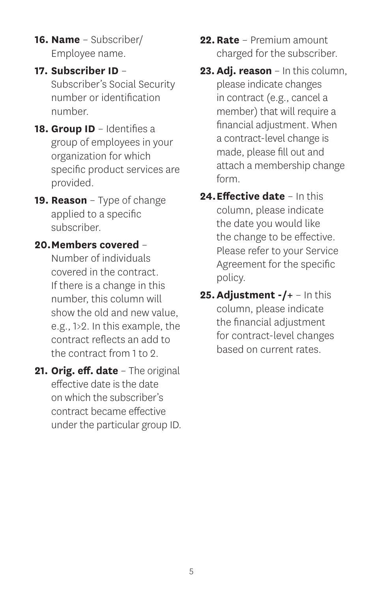- **16. Name** Subscriber/ Employee name.
- **17. Subscriber ID** Subscriber's Social Security number or identification number.
- 18. Group ID Identifies a group of employees in your organization for which specific product services are provided.
- **19. Reason** Type of change applied to a specific subscriber.
- **20. Members covered** Number of individuals covered in the contract. If there is a change in this number, this column will show the old and new value, e.g., 1>2. In this example, the contract reflects an add to the contract from 1 to 2.
- **21. Orig. eff. date** The original effective date is the date on which the subscriber's contract became effective under the particular group ID.
- **22. Rate** Premium amount charged for the subscriber.
- **23. Adj. reason** In this column, please indicate changes in contract (e.g., cancel a member) that will require a financial adjustment. When a contract-level change is made, please fill out and attach a membership change form.
- **24. Effective date** In this column, please indicate the date you would like the change to be effective. Please refer to your Service Agreement for the specific policy.
- **25. Adjustment -/+** In this column, please indicate the financial adjustment for contract-level changes based on current rates.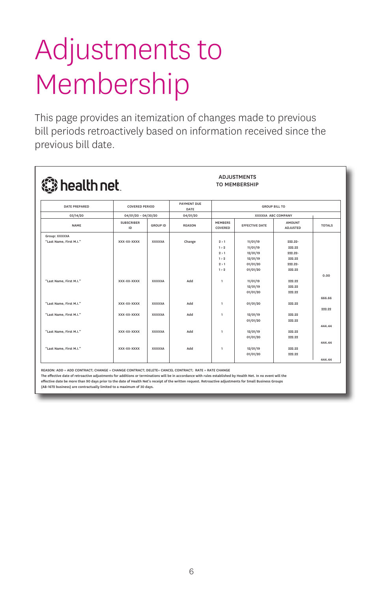### Adjustments to Membership

This page provides an itemization of changes made to previous bill periods retroactively based on information received since the previous bill date.

| <b>« health net</b>     |                         |                       |               |                                            | <b>TO MEMBERSHIP</b>  |                                  |               |  |  |
|-------------------------|-------------------------|-----------------------|---------------|--------------------------------------------|-----------------------|----------------------------------|---------------|--|--|
| <b>DATE PREPARED</b>    |                         | <b>COVERED PERIOD</b> |               | <b>GROUP BILL TO</b><br>XXXXXA ABC COMPANY |                       |                                  |               |  |  |
| 03/14/20                | $04/01/20 - 04/30/20$   |                       | 04/01/20      |                                            |                       |                                  |               |  |  |
| <b>NAME</b>             | <b>SUBSCRIBER</b><br>ID | <b>GROUP ID</b>       | <b>REASON</b> | <b>MEMBERS</b><br>COVERED                  | <b>EFFECTIVE DATE</b> | <b>AMOUNT</b><br><b>ADJUSTED</b> | <b>TOTALS</b> |  |  |
| Group: XXXXXA           |                         |                       |               |                                            |                       |                                  |               |  |  |
| "Last Name, First M.I." | XXX-XX-XXXX             | <b>XXXXXA</b>         | Change        | 2 > 1                                      | 11/01/19              | 999.99-                          |               |  |  |
|                         |                         |                       |               | 1 > 9                                      | 11/01/19              | 999.99                           |               |  |  |
|                         |                         |                       |               | 9 > 1                                      | 12/01/19              | 999.99-                          |               |  |  |
|                         |                         |                       |               | 1 > 2                                      | 12/01/19              | 222.22                           |               |  |  |
|                         |                         |                       |               | 2 > 1                                      | 01/01/20              | 999.99-                          |               |  |  |
|                         |                         |                       |               | 1 > 9                                      | 01/01/20              | 222.22                           |               |  |  |
|                         |                         |                       |               |                                            |                       |                                  | 0.00          |  |  |
| "Last Name, First M.I." | XXX-XX-XXXX             | <b>XXXXXA</b>         | Add           | $\mathbf{1}$                               | 11/01/19              | 222.22                           |               |  |  |
|                         |                         |                       |               |                                            | 12/01/19              | 222.22                           |               |  |  |
|                         |                         |                       |               |                                            | 01/01/20              | 999.99                           |               |  |  |
|                         |                         |                       |               |                                            |                       |                                  | 666,66        |  |  |
| "Last Name, First M.I." | XXX-XX-XXXX             | <b>XXXXXA</b>         | Add           | $\mathbf{1}$                               | 01/01/20              | 999.99                           |               |  |  |
|                         |                         |                       |               |                                            |                       |                                  | 222.22        |  |  |
| "Last Name, First M.I." | XXX-XX-XXXX             | <b>XXXXXA</b>         | hhA           | $\mathbf{1}$                               | 12/01/19              | 999.99                           |               |  |  |
|                         |                         |                       |               |                                            | 01/01/20              | 999.99                           |               |  |  |
|                         |                         |                       |               |                                            |                       |                                  | 444.44        |  |  |
| "Last Name, First M.I." | XXX-XX-XXXX             | <b>XXXXXA</b>         | Add           | $\mathbf{1}$                               | 12/01/19              | 222.22                           |               |  |  |
|                         |                         |                       |               |                                            | 01/01/20              | 222.22                           |               |  |  |
|                         |                         |                       |               |                                            |                       |                                  | 444.44        |  |  |
| "Last Name, First M.I." | XXX-XX-XXXX             | <b>XXXXXA</b>         | Add           | $\mathbf{1}$                               | 12/01/19              | 222.22                           |               |  |  |
|                         |                         |                       |               |                                            | 01/01/20              | 222.22                           |               |  |  |
|                         |                         |                       |               |                                            |                       |                                  | 444.44        |  |  |

**ADJUSTMENTS** 

REASON: ADD = ADD CONTRACT; CHANGE = CHANGE CONTRACT; DELETE= CANCEL CONTRACT; RATE = RATE CHANGE

The effective date of retroactive adjustments for additions or terminations will be in accordance with rules established by Health Net. In no event will the effective date be more than 90 days prior to the date of Health Net's receipt of the written request. Retroactive adjustments for Small Business Gr<br>(AB-1672 business) are contractually limited to a maximum of 30 days. (AB-1672 business) are contractually limited to a max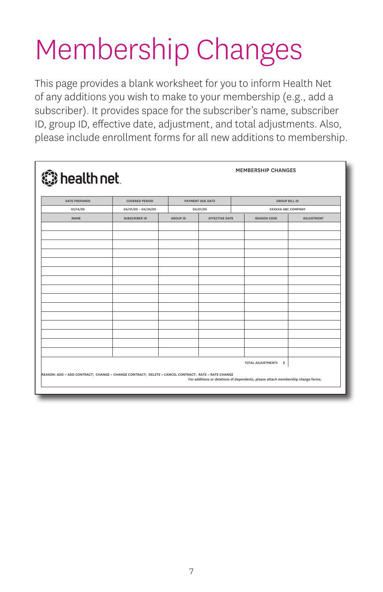## Membership Changes

This page provides a blank worksheet for you to inform Health Net of any additions you wish to make to your membership (e.g., add a subscriber). It provides space for the subscriber's name, subscriber ID, group ID, effective date, adjustment, and total adjustments. Also, please include enrollment forms for all new additions to membership.

| health net           | <b>MEMBERSHIP CHANGES</b>                                                                                                                                                              |                 |                       |                      |                           |  |  |
|----------------------|----------------------------------------------------------------------------------------------------------------------------------------------------------------------------------------|-----------------|-----------------------|----------------------|---------------------------|--|--|
| <b>DATE PREPARED</b> | <b>COVERED PERIOD</b>                                                                                                                                                                  |                 | PAYMENT DUE DATE      | <b>GROUP BILL ID</b> |                           |  |  |
| 03/14/20             | $04/01/20 - 04/30/20$                                                                                                                                                                  |                 | 04/01/20              |                      | <b>XXXXXA ABC COMPANY</b> |  |  |
| <b>NAME</b>          | <b>SUBSCRIBER ID</b>                                                                                                                                                                   | <b>GROUP ID</b> | <b>EFFECTIVE DATE</b> | <b>REASON CODE</b>   | <b>ADJUSTMENT</b>         |  |  |
|                      |                                                                                                                                                                                        |                 |                       |                      |                           |  |  |
|                      |                                                                                                                                                                                        |                 |                       |                      |                           |  |  |
|                      |                                                                                                                                                                                        |                 |                       |                      |                           |  |  |
|                      |                                                                                                                                                                                        |                 |                       |                      |                           |  |  |
|                      |                                                                                                                                                                                        |                 |                       |                      |                           |  |  |
|                      |                                                                                                                                                                                        |                 |                       |                      |                           |  |  |
|                      |                                                                                                                                                                                        |                 |                       |                      |                           |  |  |
|                      |                                                                                                                                                                                        |                 |                       |                      |                           |  |  |
|                      |                                                                                                                                                                                        |                 |                       |                      |                           |  |  |
|                      |                                                                                                                                                                                        |                 |                       |                      |                           |  |  |
|                      |                                                                                                                                                                                        |                 |                       |                      |                           |  |  |
|                      |                                                                                                                                                                                        |                 |                       |                      |                           |  |  |
|                      |                                                                                                                                                                                        |                 |                       |                      |                           |  |  |
|                      |                                                                                                                                                                                        |                 |                       |                      |                           |  |  |
|                      |                                                                                                                                                                                        |                 |                       |                      |                           |  |  |
|                      |                                                                                                                                                                                        |                 |                       |                      |                           |  |  |
|                      |                                                                                                                                                                                        |                 |                       |                      |                           |  |  |
|                      |                                                                                                                                                                                        |                 |                       | TOTAL ADJUSTMENTS \$ |                           |  |  |
|                      | REASON: ADD = ADD CONTRACT; CHANGE = CHANGE CONTRACT; DELETE = CANCEL CONTRACT; RATE = RATE CHANGE<br>For additions or deletions of dependents, please attach membership change forms. |                 |                       |                      |                           |  |  |
|                      |                                                                                                                                                                                        |                 |                       |                      |                           |  |  |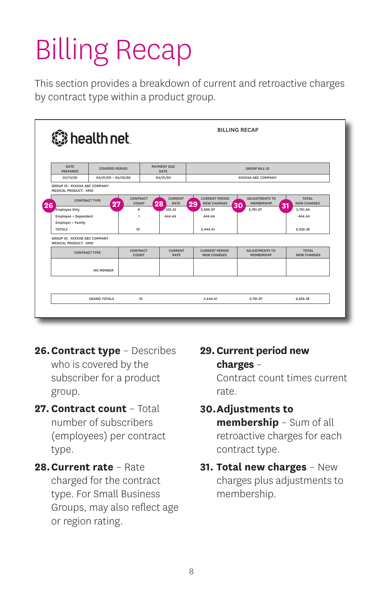# Billing Recap

This section provides a breakdown of current and retroactive charges by contract type within a product group.

| <b>« health net</b>                                  |                       |                          |                                     | <b>BILLING RECAP</b>                              |                                                  |                                          |  |  |
|------------------------------------------------------|-----------------------|--------------------------|-------------------------------------|---------------------------------------------------|--------------------------------------------------|------------------------------------------|--|--|
| DATE<br><b>PREPARED</b>                              | <b>COVERED PERIOD</b> |                          | <b>PAYMENT DUE</b><br>DATE          | <b>GROUP BILL ID</b>                              |                                                  |                                          |  |  |
| 03/14/20                                             | $04/01/20 - 04/30/20$ |                          | 04/01/20                            |                                                   | <b>XXXXXA ABC COMPANY</b>                        |                                          |  |  |
| GROUP ID: XXXXXA ABC COMPANY<br>MEDICAL PRODUCT: HMO |                       |                          |                                     |                                                   |                                                  |                                          |  |  |
| <b>CONTRACT TYPE</b><br>26                           | 27                    | <b>CONTRACT</b><br>COUNT | <b>CURRENT</b><br>28<br><b>RATE</b> | <b>CURRENT PERIOD</b><br><b>NEW CHARGES</b><br>29 | <b>ADJUSTMENTS TO</b><br><b>MEMBERSHIP</b><br>30 | <b>TOTAL</b><br><b>NEW CHARGES</b><br>31 |  |  |
| <b>Employee Only</b>                                 |                       | 9                        | 333.33                              | 2.999.97                                          | 2,791.97                                         | 5.791.94                                 |  |  |
| Employee + Dependent                                 |                       | $\mathbf{1}$             | 444.44                              | 444.44                                            |                                                  | 444.44                                   |  |  |
| Employer + Family<br><b>TOTALS</b>                   |                       | 10                       |                                     | 3.444.41                                          |                                                  | 6.236.38                                 |  |  |
| GROUP ID: XXXXXB ABC COMPANY<br>MEDICAL PRODUCT: HMO |                       |                          |                                     |                                                   |                                                  |                                          |  |  |
| <b>CONTRACT TYPE</b>                                 |                       | <b>CONTRACT</b><br>COUNT | <b>CURRENT</b><br><b>RATE</b>       | <b>CURRENT PERIOD</b><br><b>NEW CHARGES</b>       | <b>ADJUSTMENTS TO</b><br><b>MEMBERSHIP</b>       | <b>TOTAL</b><br><b>NEW CHARGES</b>       |  |  |
| <b>NO MEMBER</b>                                     |                       |                          |                                     |                                                   |                                                  |                                          |  |  |
|                                                      |                       |                          |                                     |                                                   |                                                  |                                          |  |  |
|                                                      | <b>GRAND TOTALS</b>   | 10                       |                                     | 3,444.41                                          | 2.791.97                                         | 6,236,38                                 |  |  |
|                                                      |                       |                          |                                     |                                                   |                                                  |                                          |  |  |
|                                                      |                       |                          |                                     |                                                   |                                                  |                                          |  |  |

- **26. Contract type** Describes who is covered by the subscriber for a product group.
- **27. Contract count** Total number of subscribers (employees) per contract type.
- **28. Current rate** Rate charged for the contract type. For Small Business Groups, may also reflect age or region rating.

**29. Current period new charges** –

> Contract count times current rate.

- **30. Adjustments to membership** – Sum of all retroactive charges for each contract type.
- **31. Total new charges** New charges plus adjustments to membership.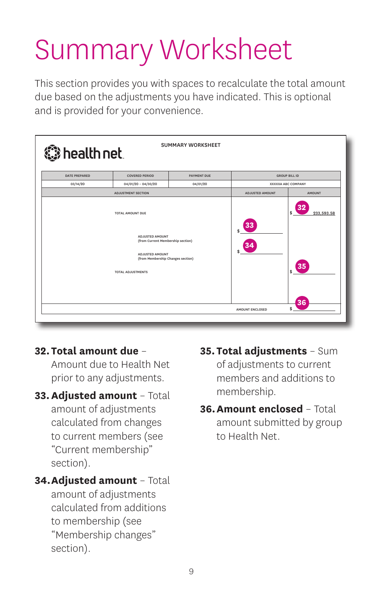## Summary Worksheet

This section provides you with spaces to recalculate the total amount due based on the adjustments you have indicated. This is optional and is provided for your convenience.

| <b>SUMMARY WORKSHEET</b><br>thealth net |                                                                                                                                                                     |                           |                                   |               |  |  |  |
|-----------------------------------------|---------------------------------------------------------------------------------------------------------------------------------------------------------------------|---------------------------|-----------------------------------|---------------|--|--|--|
| <b>DATE PREPARED</b>                    | <b>COVERED PERIOD</b><br>PAYMENT DUE<br><b>GROUP BILL ID</b>                                                                                                        |                           |                                   |               |  |  |  |
| 03/14/20                                | $04/01/20 - 04/30/20$                                                                                                                                               | <b>XXXXXA ABC COMPANY</b> |                                   |               |  |  |  |
|                                         | <b>ADJUSTMENT SECTION</b>                                                                                                                                           |                           | <b>ADJUSTED AMOUNT</b>            | <b>AMOUNT</b> |  |  |  |
|                                         | <b>TOTAL AMOUNT DUE</b><br>ADJUSTED AMOUNT<br>(from Current Membership section)<br>ADJUSTED AMOUNT<br>(from Membership Changes section)<br><b>TOTAL ADJUSTMENTS</b> | 33                        | 233,593.58<br>s<br>35<br>\$<br>36 |               |  |  |  |
|                                         |                                                                                                                                                                     | <b>AMOUNT ENCLOSED</b>    | \$                                |               |  |  |  |
|                                         |                                                                                                                                                                     |                           |                                   |               |  |  |  |

#### **32. Total amount due** –

Amount due to Health Net prior to any adjustments.

- **33. Adjusted amount** Total amount of adjustments calculated from changes to current members (see "Current membership" section).
- **34. Adjusted amount** Total amount of adjustments calculated from additions to membership (see "Membership changes" section).
- **35. Total adjustments** Sum of adjustments to current members and additions to membership.
- **36. Amount enclosed** Total amount submitted by group to Health Net.